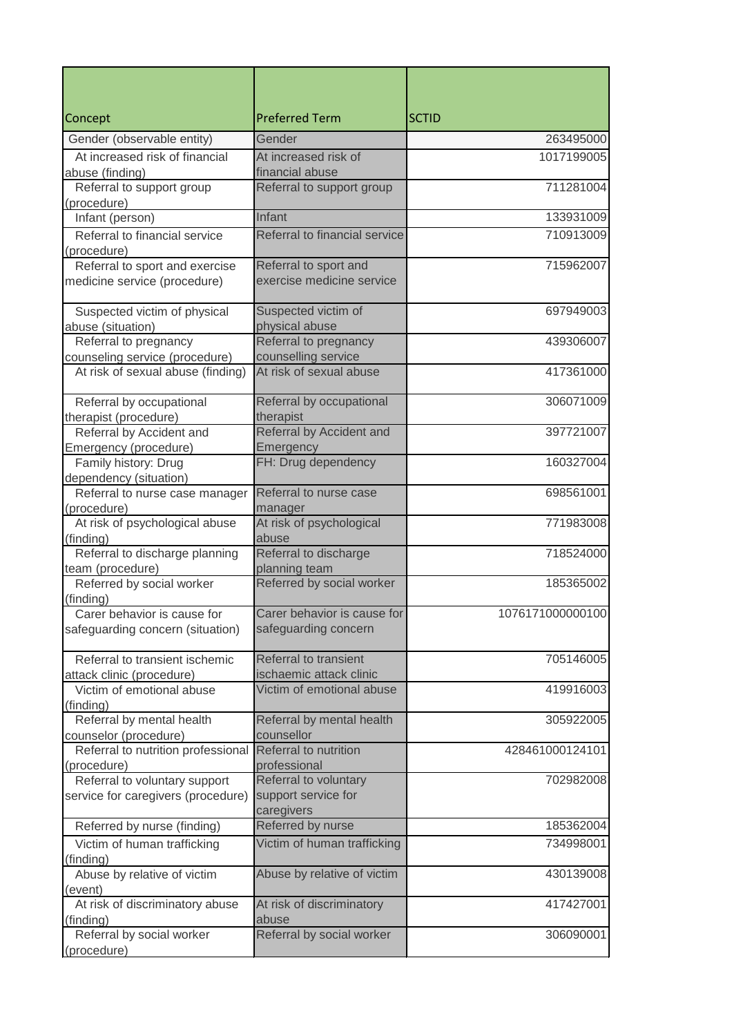| Concept                                      | <b>Preferred Term</b>             | <b>SCTID</b>     |
|----------------------------------------------|-----------------------------------|------------------|
| Gender (observable entity)                   | Gender                            | 263495000        |
| At increased risk of financial               | At increased risk of              | 1017199005       |
| abuse (finding)                              | financial abuse                   |                  |
| Referral to support group                    | Referral to support group         | 711281004        |
| (procedure)                                  |                                   |                  |
| Infant (person)                              | Infant                            | 133931009        |
| Referral to financial service<br>(procedure) | Referral to financial service     | 710913009        |
| Referral to sport and exercise               | Referral to sport and             | 715962007        |
| medicine service (procedure)                 | exercise medicine service         |                  |
| Suspected victim of physical                 | Suspected victim of               | 697949003        |
| abuse (situation)                            | physical abuse                    |                  |
| Referral to pregnancy                        | Referral to pregnancy             | 439306007        |
| counseling service (procedure)               | counselling service               |                  |
| At risk of sexual abuse (finding)            | At risk of sexual abuse           | 417361000        |
| Referral by occupational                     | Referral by occupational          | 306071009        |
| therapist (procedure)                        | therapist                         |                  |
| Referral by Accident and                     | Referral by Accident and          | 397721007        |
| Emergency (procedure)                        | Emergency                         |                  |
| Family history: Drug                         | FH: Drug dependency               | 160327004        |
| dependency (situation)                       |                                   |                  |
| Referral to nurse case manager               | Referral to nurse case            | 698561001        |
| (procedure)                                  | manager                           |                  |
| At risk of psychological abuse               | At risk of psychological          | 771983008        |
| (finding)                                    | abuse                             |                  |
| Referral to discharge planning               | Referral to discharge             | 718524000        |
| team (procedure)                             | planning team                     |                  |
| Referred by social worker                    | Referred by social worker         | 185365002        |
| (finding)<br>Carer behavior is cause for     | Carer behavior is cause for       | 1076171000000100 |
| safeguarding concern (situation)             | safeguarding concern              |                  |
| Referral to transient ischemic               | Referral to transient             | 705146005        |
| attack clinic (procedure)                    | ischaemic attack clinic           |                  |
| Victim of emotional abuse                    | Victim of emotional abuse         | 419916003        |
| (finding)                                    |                                   |                  |
| Referral by mental health                    | Referral by mental health         | 305922005        |
| counselor (procedure)                        | counsellor                        |                  |
| Referral to nutrition professional           | Referral to nutrition             | 428461000124101  |
| (procedure)                                  | professional                      |                  |
| Referral to voluntary support                | Referral to voluntary             | 702982008        |
| service for caregivers (procedure)           | support service for<br>caregivers |                  |
| Referred by nurse (finding)                  | Referred by nurse                 | 185362004        |
| Victim of human trafficking                  | Victim of human trafficking       | 734998001        |
| (finding)                                    |                                   |                  |
| Abuse by relative of victim                  | Abuse by relative of victim       | 430139008        |
| (event)                                      |                                   |                  |
| At risk of discriminatory abuse              | At risk of discriminatory         | 417427001        |
| (finding)                                    | abuse                             |                  |
| Referral by social worker                    | Referral by social worker         | 306090001        |
| (procedure)                                  |                                   |                  |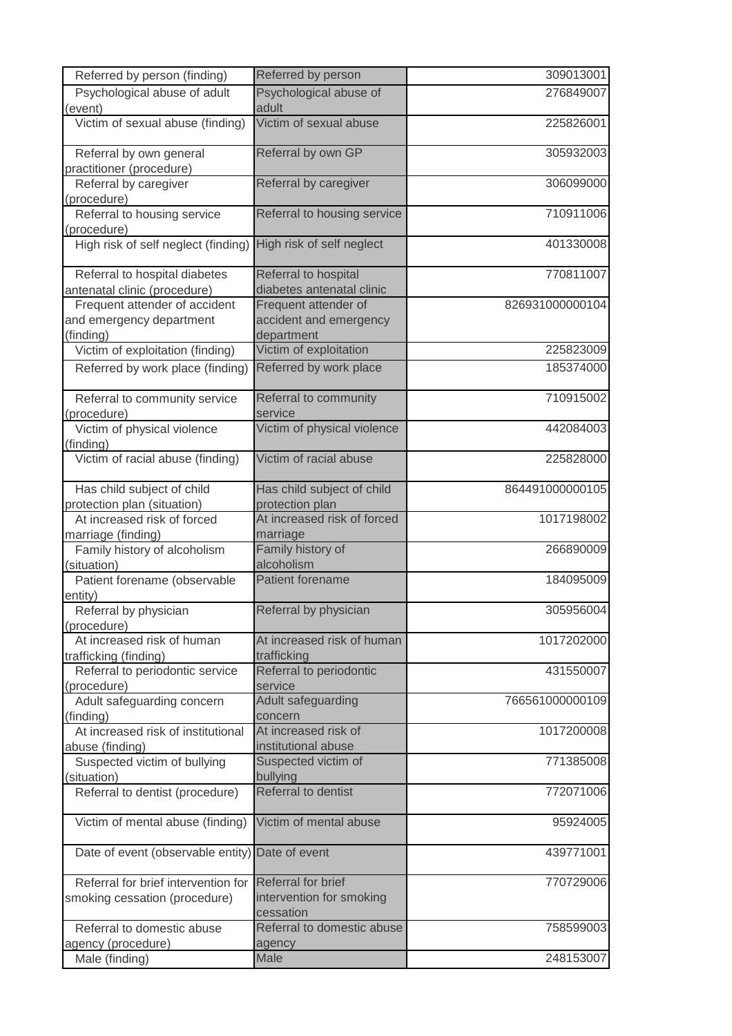| Referred by person (finding)                        | Referred by person              | 309013001       |
|-----------------------------------------------------|---------------------------------|-----------------|
| Psychological abuse of adult                        | Psychological abuse of          | 276849007       |
| (event)                                             | adult                           |                 |
| Victim of sexual abuse (finding)                    | Victim of sexual abuse          | 225826001       |
| Referral by own general<br>practitioner (procedure) | Referral by own GP              | 305932003       |
| Referral by caregiver<br>(procedure)                | Referral by caregiver           | 306099000       |
| Referral to housing service<br>(procedure)          | Referral to housing service     | 710911006       |
| High risk of self neglect (finding)                 | High risk of self neglect       | 401330008       |
| Referral to hospital diabetes                       | Referral to hospital            | 770811007       |
| antenatal clinic (procedure)                        | diabetes antenatal clinic       |                 |
| Frequent attender of accident                       | Frequent attender of            | 826931000000104 |
| and emergency department                            | accident and emergency          |                 |
| (finding)                                           | department                      |                 |
| Victim of exploitation (finding)                    | Victim of exploitation          | 225823009       |
| Referred by work place (finding)                    | Referred by work place          | 185374000       |
|                                                     |                                 |                 |
| Referral to community service                       | Referral to community           | 710915002       |
| (procedure)                                         | service                         |                 |
| Victim of physical violence                         | Victim of physical violence     | 442084003       |
| (finding)                                           |                                 |                 |
| Victim of racial abuse (finding)                    | Victim of racial abuse          | 225828000       |
| Has child subject of child                          | Has child subject of child      | 864491000000105 |
| protection plan (situation)                         | protection plan                 |                 |
| At increased risk of forced                         | At increased risk of forced     | 1017198002      |
| marriage (finding)                                  | marriage                        |                 |
| Family history of alcoholism                        | Family history of               | 266890009       |
|                                                     | alcoholism                      |                 |
| (situation)<br>Patient forename (observable         | Patient forename                | 184095009       |
| entity)                                             |                                 |                 |
| Referral by physician                               | Referral by physician           | 305956004       |
| (procedure)                                         |                                 |                 |
| At increased risk of human                          | At increased risk of human      | 1017202000      |
| trafficking (finding)                               | trafficking                     |                 |
| Referral to periodontic service                     | Referral to periodontic         | 431550007       |
|                                                     | service                         |                 |
| (procedure)                                         | Adult safeguarding              | 766561000000109 |
| Adult safeguarding concern                          |                                 |                 |
| (finding)                                           | concern<br>At increased risk of |                 |
| At increased risk of institutional                  |                                 | 1017200008      |
| abuse (finding)                                     | institutional abuse             |                 |
| Suspected victim of bullying                        | Suspected victim of             | 771385008       |
| (situation)                                         | bullying                        |                 |
| Referral to dentist (procedure)                     | Referral to dentist             | 772071006       |
| Victim of mental abuse (finding)                    | Victim of mental abuse          | 95924005        |
|                                                     |                                 |                 |
| Date of event (observable entity) Date of event     |                                 | 439771001       |
| Referral for brief intervention for                 | Referral for brief              | 770729006       |
| smoking cessation (procedure)                       | intervention for smoking        |                 |
|                                                     | cessation                       |                 |
| Referral to domestic abuse                          | Referral to domestic abuse      | 758599003       |
| agency (procedure)                                  | agency                          |                 |
| Male (finding)                                      | Male                            | 248153007       |
|                                                     |                                 |                 |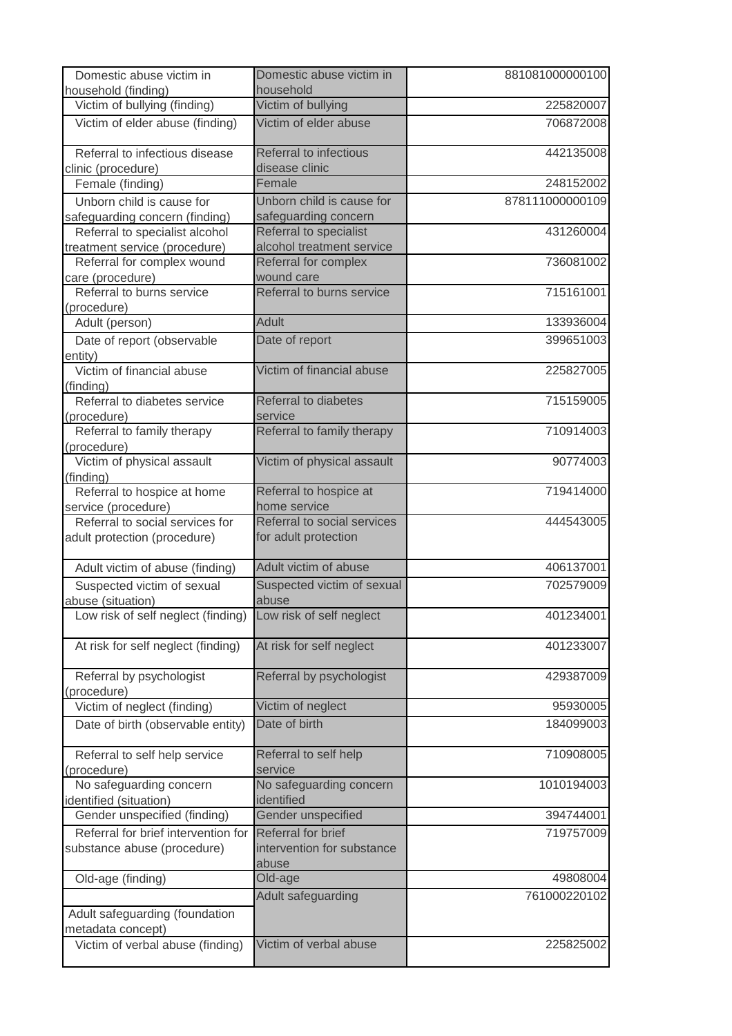| Domestic abuse victim in                                    | Domestic abuse victim in               | 881081000000100 |
|-------------------------------------------------------------|----------------------------------------|-----------------|
| household (finding)                                         | household                              |                 |
| Victim of bullying (finding)                                | Victim of bullying                     | 225820007       |
| Victim of elder abuse (finding)                             | Victim of elder abuse                  | 706872008       |
| Referral to infectious disease                              | <b>Referral to infectious</b>          | 442135008       |
| clinic (procedure)                                          | disease clinic                         |                 |
| Female (finding)                                            | Female                                 | 248152002       |
| Unborn child is cause for                                   | Unborn child is cause for              | 878111000000109 |
| safeguarding concern (finding)                              | safeguarding concern                   |                 |
| Referral to specialist alcohol                              | Referral to specialist                 | 431260004       |
| treatment service (procedure)                               | alcohol treatment service              |                 |
| Referral for complex wound                                  | Referral for complex                   | 736081002       |
| care (procedure)                                            | wound care                             |                 |
| Referral to burns service                                   | Referral to burns service              | 715161001       |
| (procedure)                                                 |                                        |                 |
| Adult (person)                                              | <b>Adult</b>                           | 133936004       |
| Date of report (observable<br>entity)                       | Date of report                         | 399651003       |
| Victim of financial abuse                                   | Victim of financial abuse              | 225827005       |
| (finding)                                                   |                                        |                 |
| Referral to diabetes service                                | <b>Referral to diabetes</b>            | 715159005       |
| (procedure)                                                 | service                                |                 |
| Referral to family therapy<br>(procedure)                   | Referral to family therapy             | 710914003       |
| Victim of physical assault                                  | Victim of physical assault             | 90774003        |
| (finding)                                                   |                                        |                 |
| Referral to hospice at home<br>service (procedure)          | Referral to hospice at<br>home service | 719414000       |
| Referral to social services for                             | Referral to social services            | 444543005       |
| adult protection (procedure)                                | for adult protection                   |                 |
| Adult victim of abuse (finding)                             | Adult victim of abuse                  | 406137001       |
| Suspected victim of sexual                                  | Suspected victim of sexual             | 702579009       |
| abuse (situation)                                           | abuse                                  |                 |
| Low risk of self neglect (finding) Low risk of self neglect |                                        | 401234001       |
|                                                             | At risk for self neglect               | 401233007       |
| At risk for self neglect (finding)                          |                                        |                 |
| Referral by psychologist<br>(procedure)                     | Referral by psychologist               | 429387009       |
| Victim of neglect (finding)                                 | Victim of neglect                      | 95930005        |
| Date of birth (observable entity)                           | Date of birth                          | 184099003       |
| Referral to self help service                               | Referral to self help                  | 710908005       |
| (procedure)                                                 | service                                |                 |
| No safeguarding concern                                     | No safeguarding concern                | 1010194003      |
| identified (situation)                                      | identified                             |                 |
| Gender unspecified (finding)                                | Gender unspecified                     | 394744001       |
| Referral for brief intervention for                         | Referral for brief                     | 719757009       |
| substance abuse (procedure)                                 | intervention for substance             |                 |
|                                                             | abuse                                  |                 |
| Old-age (finding)                                           | Old-age                                | 49808004        |
|                                                             | Adult safeguarding                     | 761000220102    |
| Adult safeguarding (foundation                              |                                        |                 |
| metadata concept)                                           |                                        |                 |
| Victim of verbal abuse (finding)                            | Victim of verbal abuse                 | 225825002       |